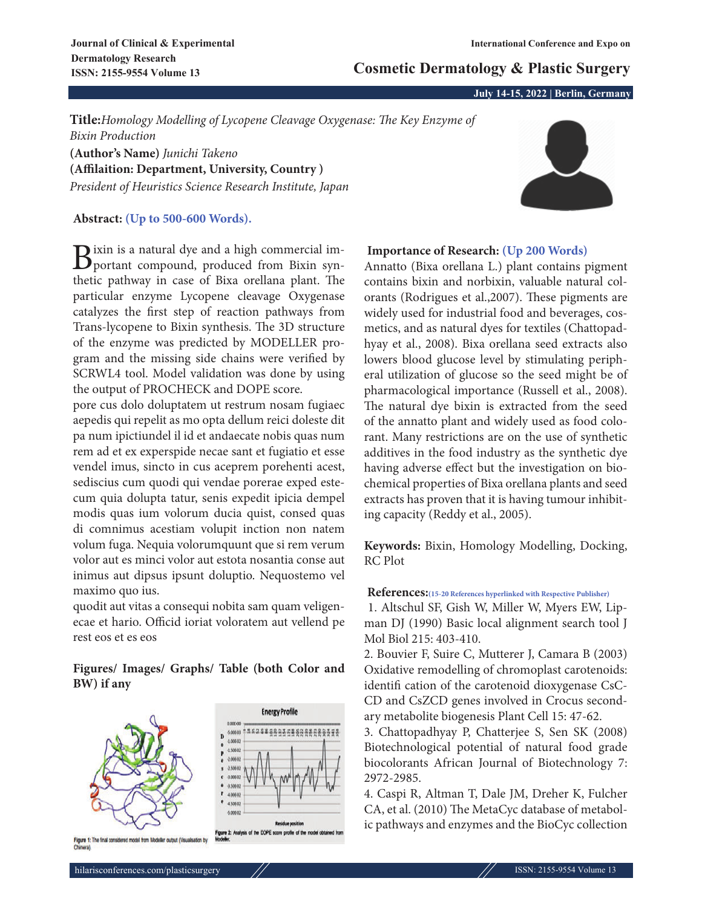# **Cosmetic Dermatology & Plastic Surgery**

**July 14-15, 2022 | Berlin, Germany**

**Title:***Homology Modelling of Lycopene Cleavage Oxygenase: The Key Enzyme of Bixin Production* **(Author's Name)** *Junichi Takeno*

**(Affilaition: Department, University, Country )** *President of Heuristics Science Research Institute, Japan*

## **Abstract: (Up to 500-600 Words).**

Bixin is a natural dye and a high commercial im-<br>portant compound, produced from Bixin synthetic pathway in case of Bixa orellana plant. The particular enzyme Lycopene cleavage Oxygenase catalyzes the first step of reaction pathways from Trans-lycopene to Bixin synthesis. The 3D structure of the enzyme was predicted by MODELLER program and the missing side chains were verified by SCRWL4 tool. Model validation was done by using the output of PROCHECK and DOPE score.

pore cus dolo doluptatem ut restrum nosam fugiaec aepedis qui repelit as mo opta dellum reici doleste dit pa num ipictiundel il id et andaecate nobis quas num rem ad et ex experspide necae sant et fugiatio et esse vendel imus, sincto in cus aceprem porehenti acest, sediscius cum quodi qui vendae porerae exped estecum quia dolupta tatur, senis expedit ipicia dempel modis quas ium volorum ducia quist, consed quas di comnimus acestiam volupit inction non natem volum fuga. Nequia volorumquunt que si rem verum volor aut es minci volor aut estota nosantia conse aut inimus aut dipsus ipsunt doluptio. Nequostemo vel maximo quo ius.

quodit aut vitas a consequi nobita sam quam veligenecae et hario. Officid ioriat voloratem aut vellend pe rest eos et es eos

## **Figures/ Images/ Graphs/ Table (both Color and BW) if any**



## **Importance of Research: (Up 200 Words)**

Annatto (Bixa orellana L.) plant contains pigment contains bixin and norbixin, valuable natural colorants (Rodrigues et al.,2007). These pigments are widely used for industrial food and beverages, cosmetics, and as natural dyes for textiles (Chattopadhyay et al., 2008). Bixa orellana seed extracts also lowers blood glucose level by stimulating peripheral utilization of glucose so the seed might be of pharmacological importance (Russell et al., 2008). The natural dye bixin is extracted from the seed of the annatto plant and widely used as food colorant. Many restrictions are on the use of synthetic additives in the food industry as the synthetic dye having adverse effect but the investigation on biochemical properties of Bixa orellana plants and seed extracts has proven that it is having tumour inhibiting capacity (Reddy et al., 2005).

**Keywords:** Bixin, Homology Modelling, Docking, RC Plot

### **References:(15-20 References hyperlinked with Respective Publisher)**

1. Altschul SF, Gish W, Miller W, Myers EW, Lipman DJ (1990) Basic local alignment search tool J Mol Biol 215: 403-410.

2. Bouvier F, Suire C, Mutterer J, Camara B (2003) Oxidative remodelling of chromoplast carotenoids: identifi cation of the carotenoid dioxygenase CsC-CD and CsZCD genes involved in Crocus secondary metabolite biogenesis Plant Cell 15: 47-62.

3. Chattopadhyay P, Chatterjee S, Sen SK (2008) Biotechnological potential of natural food grade biocolorants African Journal of Biotechnology 7: 2972-2985.

4. Caspi R, Altman T, Dale JM, Dreher K, Fulcher CA, et al. (2010) The MetaCyc database of metabolic pathways and enzymes and the BioCyc collection